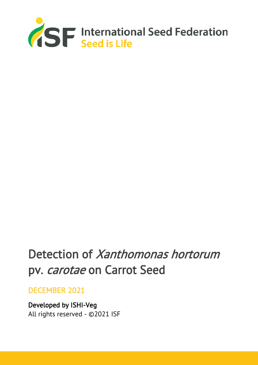

# Detection of Xanthomonas hortorum pv. carotae on Carrot Seed

## DECEMBER 2021

Developed by ISHI-Veg All rights reserved - ©2021 ISF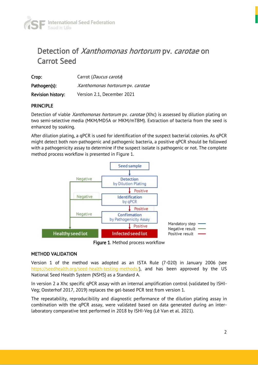

## Detection of Xanthomonas hortorum pv. carotae on Carrot Seed

| Crop:                    | Carrot (Daucus carota)           |  |
|--------------------------|----------------------------------|--|
| Pathogen(s):             | Xanthomonas hortorum pv. carotae |  |
| <b>Revision history:</b> | Version 2.1, December 2021       |  |

#### PRINCIPLE

Detection of viable *Xanthomonas hortorum* pv. *carotae* (Xhc) is assessed by dilution plating on two semi-selective media (MKM/MD5A or MKM/mTBM). Extraction of bacteria from the seed is enhanced by soaking.

After dilution plating, a qPCR is used for identification of the suspect bacterial colonies. As qPCR might detect both non-pathogenic and pathogenic bacteria, a positive qPCR should be followed with a pathogenicity assay to determine if the suspect isolate is pathogenic or not. The complete method process workflow is presented in Figure 1.



Figure 1. Method process workflow

#### METHOD VALIDATION

Version 1 of the method was adopted as an ISTA Rule (7-020) in January 2006 (see [https://seedhealth.org/seed-health-testing-methods/\)](https://seedhealth.org/seed-health-testing-methods/), and has been approved by the US National Seed Health System (NSHS) as a Standard A.

In version 2 a Xhc specific qPCR assay with an internal amplification control (validated by ISHI-Veg; Oosterhof 2017, 2019) replaces the gel-based PCR test from version 1.

The repeatability, reproducibility and diagnostic performance of the dilution plating assay in combination with the qPCR assay, were validated based on data generated during an interlaboratory comparative test performed in 2018 by ISHI-Veg (Lê Van et al. 2021).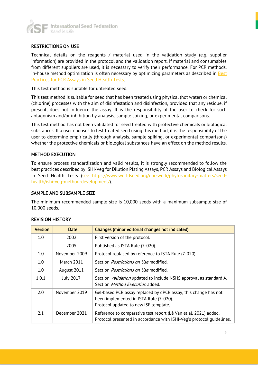

#### RESTRICTIONS ON USE

Technical details on the reagents / material used in the validation study (e.g. supplier information) are provided in the protocol and the validation report. If material and consumables from different suppliers are used, it is necessary to verify their performance. For PCR methods, in-house method optimization is often necessary by optimizing parameters as described in **Best** [Practices for PCR Assays in Seed Health Tests.](https://www.worldseed.org/wp-content/uploads/2019/12/Best-Practices_PCR_Dec_2019.pdf)

This test method is suitable for untreated seed.

This test method is suitable for seed that has been treated using physical (hot water) or chemical (chlorine) processes with the aim of disinfestation and disinfection, provided that any residue, if present, does not influence the assay. It is the responsibility of the user to check for such antagonism and/or inhibition by analysis, sample spiking, or experimental comparisons.

This test method has not been validated for seed treated with protective chemicals or biological substances. If a user chooses to test treated seed using this method, it is the responsibility of the user to determine empirically (through analysis, sample spiking, or experimental comparisons) whether the protective chemicals or biological substances have an effect on the method results.

#### METHOD EXECUTION

To ensure process standardization and valid results, it is strongly recommended to follow the best practices described by ISHI-Veg for Dilution Plating Assays, PCR Assays and Biological Assays in Seed Health Tests (see https://www.worldseed.org/our-work/phytosanitary-matters/seedhealth/ishi-veg-method-development/).

#### SAMPLE AND SUBSAMPLE SIZE

The minimum recommended sample size is 10,000 seeds with a maximum subsample size of 10,000 seeds.

## Version **Date Changes (minor editorial changes not indicated)** 1.0 | 2002 | First version of the protocol. 2005 Published as ISTA Rule (7-020). 1.0 November 2009 Protocol replaced by reference to ISTA Rule (7-020). 1.0 | March 2011 | Section *Restrictions on Use* modified. 1.0 | August 2011 | Section Restrictions on Use modified. 1.0.1 July 2017 Section *Validation* updated to include NSHS approval as standard A. Section Method Execution added. 2.0 November 2019  $\parallel$  Gel-based PCR assay replaced by qPCR assay, this change has not been implemented in ISTA Rule (7-020). Protocol updated to new ISF template. 2.1 **December 2021** | Reference to comparative test report (Lê Van et al. 2021) added. Protocol presented in accordance with ISHI-Veg's protocol guidelines.

#### REVISION HISTORY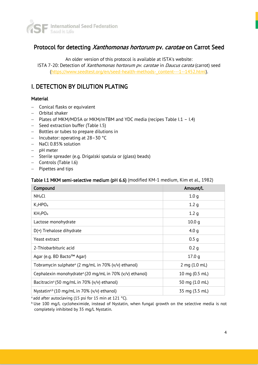

## Protocol for detecting Xanthomonas hortorum pv. carotae on Carrot Seed

An older version of this protocol is available at ISTA's website: ISTA 7-20: Detection of Xanthomonas hortorum pv. carotae in Daucus carota (carrot) seed [\(https://www.seedtest.org/en/seed-health-methods-\\_content---1--1452.html\)](https://www.seedtest.org/en/seed-health-methods-_content---1--1452.html).

## I. DETECTION BY DILUTION PLATING

#### **Material**

- − Conical flasks or equivalent
- − Orbital shaker
- − Plates of MKM/MD5A or MKM/mTBM and YDC media (recipes Table I.1 I.4)
- − Seed extraction buffer (Table I.5)
- − Bottles or tubes to prepare dilutions in
- − Incubator: operating at 28–30 °C
- − NaCl 0.85% solution
- − pH meter
- − Sterile spreader (e.g. Drigalski spatula or (glass) beads)
- − Controls (Table I.6)
- − Pipettes and tips

#### Table I.1 MKM semi-selective medium (pH 6.6) (modified KM-1 medium, Kim et al., 1982)

| Compound                                                            | Amount/L          |
|---------------------------------------------------------------------|-------------------|
| NH <sub>4</sub> Cl                                                  | 1.0 <sub>q</sub>  |
| $K_2HPO_4$                                                          | 1.2 <sub>q</sub>  |
| KH <sub>2</sub> PO <sub>4</sub>                                     | 1.2 <sub>q</sub>  |
| Lactose monohydrate                                                 | 10.0 <sub>q</sub> |
| D(+) Trehalose dihydrate                                            | 4.0 $q$           |
| Yeast extract                                                       | 0.5 <sub>q</sub>  |
| 2-Thiobarbituric acid                                               | 0.2 <sub>q</sub>  |
| Agar (e.g. BD Bacto™ Agar)                                          | 17.0 <sub>q</sub> |
| Tobramycin sulphate <sup>a</sup> (2 mg/mL in 70% (v/v) ethanol)     | 2 mg (1.0 mL)     |
| Cephalexin monohydrate <sup>a</sup> (20 mg/mL in 70% (v/v) ethanol) | 10 mg (0.5 mL)    |
| Bacitracin <sup>a</sup> (50 mg/mL in 70% (v/v) ethanol)             | 50 mg (1.0 mL)    |
| Nystatin <sup>a,b</sup> (10 mg/mL in 70% (v/v) ethanol)             | 35 mg (3.5 mL)    |

<sup>a</sup> add after autoclaving (15 psi for 15 min at 121 °C).

**b Use 100 mg/L cycloheximide, instead of Nystatin, when fungal growth on the selective media is not** completely inhibited by 35 mg/L Nystatin.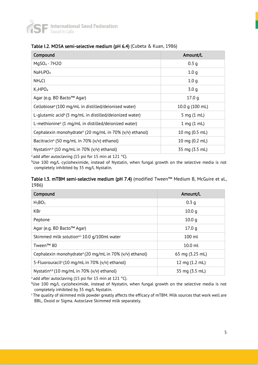

| Compound                                                            | Amount/L         |
|---------------------------------------------------------------------|------------------|
| $MqSO4 \cdot 7H2O$                                                  | 0.3 <sub>q</sub> |
| NaH <sub>2</sub> PO <sub>4</sub>                                    | 1.0 <sub>q</sub> |
| NH <sub>4</sub> Cl                                                  | 1.0 <sub>q</sub> |
| K <sub>2</sub> HPO <sub>4</sub>                                     | 3.0 <sub>q</sub> |
| Agar (e.g. BD Bacto™ Agar)                                          | 17.0q            |
| Cellobiose <sup>a</sup> (100 mg/mL in distilled/deionised water)    | 10.0 g (100 mL)  |
| L-glutamic acid <sup>a</sup> (5 mg/mL in distilled/deionized water) | 5 mg (1 mL)      |
| L-methionine <sup>a</sup> (1 mg/mL in distilled/deionized water)    | $1$ mg $(1$ mL)  |
| Cephalexin monohydrate <sup>a</sup> (20 mg/mL in 70% (v/v) ethanol) | 10 mg (0.5 mL)   |
| Bacitracin <sup>a</sup> (50 mg/mL in 70% (v/v) ethanol)             | 10 mg (0.2 mL)   |
| Nystatin <sup>a,b</sup> (10 mg/mL in 70% (v/v) ethanol)             | 35 mg (3.5 mL)   |

#### Table I.2. MD5A semi-selective medium (pH 6.4) (Cubeta & Kuan, 1986)

<sup>a</sup> add after autoclaving (15 psi for 15 min at 121 °C).

bUse 100 mg/L cycloheximide, instead of Nystatin, when fungal growth on the selective media is not completely inhibited by 35 mg/L Nystatin.

#### Table I.3. mTBM semi-selective medium (pH 7.4) (modified Tween™ Medium B, McGuire et al., 1986)

| Compound                                                            | Amount/L          |
|---------------------------------------------------------------------|-------------------|
| $H_3BO_3$                                                           | 0.3 g             |
| <b>KBr</b>                                                          | 10.0 <sub>q</sub> |
| Peptone                                                             | 10.0 <sub>q</sub> |
| Agar (e.g. BD Bacto™ Agar)                                          | 17.0 <sub>q</sub> |
| Skimmed milk solution <sup>a,c</sup> 10.0 g/100ml water             | $100$ ml          |
| Tween <sup>™</sup> 80                                               | $10.0$ ml         |
| Cephalexin monohydrate <sup>a</sup> (20 mg/mL in 70% (v/v) ethanol) | 65 mg (3.25 mL)   |
| 5-Fluorouracil <sup>a</sup> (10 mg/mL in 70% (v/v) ethanol)         | 12 mg (1.2 mL)    |
| Nystatin <sup>a,b</sup> (10 mg/mL in 70% (v/v) ethanol)             | 35 mg (3.5 mL)    |

<sup>a</sup> add after autoclaving (15 psi for 15 min at 121 °C).

bUse 100 mg/L cycloheximide, instead of Nystatin, when fungal growth on the selective media is not completely inhibited by 35 mg/L Nystatin.

<sup>c</sup>The quality of skimmed milk powder greatly affects the efficacy of mTBM. Milk sources that work well are BBL, Oxoid or Sigma. Autoclave Skimmed milk separately.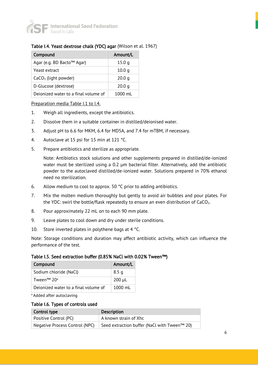

#### Table I.4. Yeast dextrose chalk (YDC) agar (Wilson et al. 1967)

| Compound                             | Amount/L          |
|--------------------------------------|-------------------|
| Agar (e.g. BD Bacto™ Agar)           | 15.0q             |
| Yeast extract                        | 10.0 <sub>q</sub> |
| $CaCO3$ (light powder)               | 20.0 <sub>q</sub> |
| D-Glucose (dextrose)                 | 20.0 <sub>q</sub> |
| Deionized water to a final volume of | 1000 ml           |

#### Preparation media Table I.1 to I.4.

- 1. Weigh all ingredients, except the antibiotics.
- 2. Dissolve them in a suitable container in distilled/deionised water.
- 3. Adjust pH to 6.6 for MKM, 6.4 for MD5A, and 7.4 for mTBM, if necessary.
- 4. Autoclave at 15 psi for 15 min at 121 °C.
- 5. Prepare antibiotics and sterilize as appropriate.

Note: Antibiotics stock solutions and other supplements prepared in distilled/de-ionized water must be sterilized using a 0.2 µm bacterial filter. Alternatively, add the antibiotic powder to the autoclaved distilled/de-ionized water. Solutions prepared in 70% ethanol need no sterilization.

- 6. Allow medium to cool to approx. 50 °C prior to adding antibiotics.
- 7. Mix the molten medium thoroughly but gently to avoid air bubbles and pour plates. For the YDC: swirl the bottle/flask repeatedly to ensure an even distribution of  $CaCO<sub>3</sub>$ .
- 8. Pour approximately 22 mL on to each 90 mm plate.
- 9. Leave plates to cool down and dry under sterile conditions.
- 10. Store inverted plates in polythene bags at 4 °C.

Note: Storage conditions and duration may affect antibiotic activity, which can influence the performance of the test.

#### Table I.5. Seed extraction buffer (0.85% NaCl with 0.02% Tween™)

| Compound                             | Amount/L          |
|--------------------------------------|-------------------|
| Sodium chloride (NaCl)               | 8.5 <sub>q</sub>  |
| Tween <sup>™</sup> 20 <sup>a</sup>   | $200 \mu L$       |
| Deionized water to a final volume of | $1000 \text{ ml}$ |

a Added after autoclaving

#### Table I.6. Types of controls used

| Control type                   | <b>Description</b>                           |
|--------------------------------|----------------------------------------------|
| Positive Control (PC)          | A known strain of Xhc                        |
| Negative Process Control (NPC) | Seed extraction buffer (NaCl with Tween™ 20) |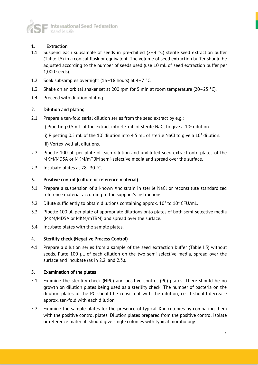

#### 1. Extraction

- 1.1. Suspend each subsample of seeds in pre-chilled  $(2-4 °C)$  sterile seed extraction buffer (Table I.5) in a conical flask or equivalent. The volume of seed extraction buffer should be adjusted according to the number of seeds used (use 10 mL of seed extraction buffer per 1,000 seeds).
- 1.2. Soak subsamples overnight (16–18 hours) at 4–7 °C.
- 1.3. Shake on an orbital shaker set at 200 rpm for 5 min at room temperature (20–25 °C).
- 1.4. Proceed with dilution plating.

#### 2. Dilution and plating

- 2.1. Prepare a ten-fold serial dilution series from the seed extract by e.g.:
	- i) Pipetting 0.5 mL of the extract into 4.5 mL of sterile NaCl to give a  $10<sup>1</sup>$  dilution
	- ii) Pipetting 0.5 mL of the  $10<sup>1</sup>$  dilution into 4.5 mL of sterile NaCl to give a  $10<sup>2</sup>$  dilution.
	- iii) Vortex well all dilutions.
- 2.2. Pipette 100 µL per plate of each dilution and undiluted seed extract onto plates of the MKM/MD5A or MKM/mTBM semi-selective media and spread over the surface.
- 2.3. Incubate plates at 28–30 °C.

#### 3. Positive control (culture or reference material)

- 3.1. Prepare a suspension of a known Xhc strain in sterile NaCl or reconstitute standardized reference material according to the supplier's instructions.
- 3.2. Dilute sufficiently to obtain dilutions containing approx.  $10^2$  to  $10^4$  CFU/mL.
- 3.3. Pipette 100 µL per plate of appropriate dilutions onto plates of both semi-selective media (MKM/MD5A or MKM/mTBM) and spread over the surface.
- 3.4. Incubate plates with the sample plates.

#### 4. Sterility check (Negative Process Control)

4.1. Prepare a dilution series from a sample of the seed extraction buffer (Table I.5) without seeds. Plate 100 µL of each dilution on the two semi-selective media, spread over the surface and incubate (as in 2.2. and 2.3.).

#### 5. Examination of the plates

- 5.1. Examine the sterility check (NPC) and positive control (PC) plates. There should be no growth on dilution plates being used as a sterility check. The number of bacteria on the dilution plates of the PC should be consistent with the dilution, i.e. it should decrease approx. ten-fold with each dilution.
- 5.2. Examine the sample plates for the presence of typical Xhc colonies by comparing them with the positive control plates. Dilution plates prepared from the positive control isolate or reference material, should give single colonies with typical morphology.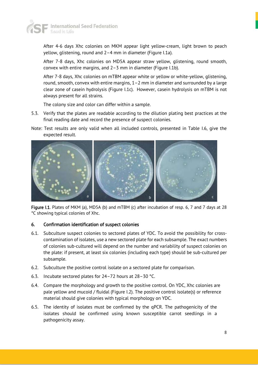

After 4-6 days Xhc colonies on MKM appear light yellow-cream, light brown to peach yellow, glistening, round and 2–4 mm in diameter (Figure I.1a).

After 7-8 days, Xhc colonies on MD5A appear straw yellow, glistening, round smooth, convex with entire margins, and 2–3 mm in diameter (Figure I.1b).

After 7-8 days, Xhc colonies on mTBM appear white or yellow or white-yellow, glistening, round, smooth, convex with entire margins, 1–2 mm in diameter and surrounded by a large clear zone of casein hydrolysis (Figure I.1c). However, casein hydrolysis on mTBM is not always present for all strains.

The colony size and color can differ within a sample.

- 5.3. Verify that the plates are readable according to the dilution plating best practices at the final reading date and record the presence of suspect colonies.
- Note: Test results are only valid when all included controls, presented in Table I.6, give the expected result.



Figure I.1. Plates of MKM (a), MD5A (b) and mTBM (c) after incubation of resp. 6, 7 and 7 days at 28 °C showing typical colonies of Xhc.

#### 6. Confirmation identification of suspect colonies

- 6.1. Subculture suspect colonies to sectored plates of YDC. To avoid the possibility for crosscontamination of isolates, use a new sectored plate for each subsample. The exact numbers of colonies sub-cultured will depend on the number and variability of suspect colonies on the plate: if present, at least six colonies (including each type) should be sub-cultured per subsample.
- 6.2. Subculture the positive control isolate on a sectored plate for comparison.
- 6.3. Incubate sectored plates for 24–72 hours at 28–30 °C.
- 6.4. Compare the morphology and growth to the positive control. On YDC, Xhc colonies are pale yellow and mucoid / fluidal (Figure I.2). The positive control isolate(s) or reference material should give colonies with typical morphology on YDC.
- 6.5. The identity of isolates must be confirmed by the qPCR. The pathogenicity of the isolates should be confirmed using known susceptible carrot seedlings in a pathogenicity assay.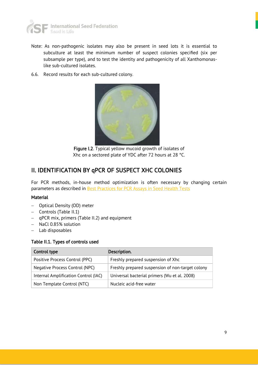

- Note: As non-pathogenic isolates may also be present in seed lots it is essential to subculture at least the minimum number of suspect colonies specified (six per subsample per type), and to test the identity and pathogenicity of all Xanthomonaslike sub-cultured isolates.
- 6.6. Record results for each sub-cultured colony.



Figure I.2. Typical yellow mucoid growth of isolates of Xhc on a sectored plate of YDC after 72 hours at 28 °C.

### II. IDENTIFICATION BY qPCR OF SUSPECT XHC COLONIES

For PCR methods, in-house method optimization is often necessary by changing certain parameters as described in **Best Practices for PCR Assays in Seed Health Tests** 

#### Material

- − Optical Density (OD) meter
- − Controls (Table II.1)
- − qPCR mix, primers (Table II.2) and equipment
- − NaCl 0.85% solution
- − Lab disposables

#### Table II.1. Types of controls used

| Control type                         | Description.                                     |  |
|--------------------------------------|--------------------------------------------------|--|
| Positive Process Control (PPC)       | Freshly prepared suspension of Xhc               |  |
| Negative Process Control (NPC)       | Freshly prepared suspension of non-target colony |  |
| Internal Amplification Control (IAC) | Universal bacterial primers (Wu et al. 2008)     |  |
| Non Template Control (NTC)           | Nucleic acid-free water                          |  |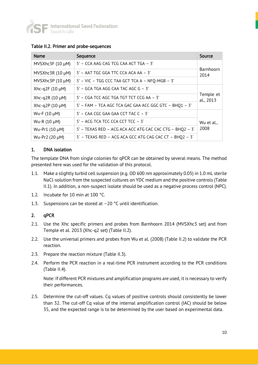

| <b>Name</b>           | Sequence                                                 | Source                 |
|-----------------------|----------------------------------------------------------|------------------------|
| MVSXhc3F $(10 \mu M)$ | 5' - CCA AAG CAG TCG CAA ACT TGA - 3'                    |                        |
| MVSXhc3R $(10 \mu M)$ | 5' - AAT TGC GGA TTC CCA ACA AA - 3'                     | Barnhoorn<br>2014      |
| MVSXhc3P (10 µM)      | 5' - VIC - TGG CCC TAA GCT TCA A - NFQ-MGB - 3'          |                        |
| Xhc-q2F $(10 \mu M)$  | $5'$ – GCA TGA AGG CAA TAC AGC G – 3'                    |                        |
| Xhc-q2R (10 $\mu$ M)  | 5' – CGA TCC AGC TGA TGT TCT CCG AA – 3'                 | Temple et<br>al., 2013 |
| Xhc-q2P $(10 \mu M)$  | 5' - FAM - TCA AGC TCA GAC GAA ACC GGC GTC - BHQ1 - 3'   |                        |
| Wu-F $(10 \mu M)$     | $5'$ – CAA CGC GAA GAA CCT TAC C – $3'$                  |                        |
| Wu-R (10 µM)          | 5' - ACG TCA TCC CCA CCT TCC - 3'                        | Wu et al.,             |
| Wu-Pr1 (10 µM)        | 5' - TEXAS RED - ACG ACA ACC ATG CAC CAC CTG - BHQ2 - 3' | 2008                   |
| Wu-Pr2 (20 µM)        | 5' - TEXAS RED - ACG ACA GCC ATG CAG CAC CT - BHQ2 - 3'  |                        |

#### Table II.2. Primer and probe-sequences

#### 1. DNA isolation

The template DNA from single colonies for qPCR can be obtained by several means. The method presented here was used for the validation of this protocol.

- 1.1. Make a slightly turbid cell suspension (e.g. OD 600 nm approximately 0.05) in 1.0 mL sterile NaCl-solution from the suspected cultures on YDC medium and the positive controls (Table II.1). In addition, a non-suspect isolate should be used as a negative process control (NPC).
- 1.2. Incubate for 10 min at 100 °C.
- 1.3. Suspensions can be stored at –20 °C until identification.

#### 2. qPCR

- 2.1. Use the Xhc specific primers and probes from Barnhoorn 2014 (MVSXhc3 set) and from Temple et al. 2013 (Xhc-q2 set) (Table II.2).
- 2.2. Use the universal primers and probes from Wu et al. (2008) (Table II.2) to validate the PCR reaction.
- 2.3. Prepare the reaction mixture (Table II.3).
- 2.4. Perform the PCR reaction in a real-time PCR instrument according to the PCR conditions (Table II.4).

Note: If different PCR mixtures and amplification programs are used, it is necessary to verify their performances.

2.5. Determine the cut-off values. Cq values of positive controls should consistently be lower than 32. The cut-off Cq value of the internal amplification control (IAC) should be below 35, and the expected range is to be determined by the user based on experimental data.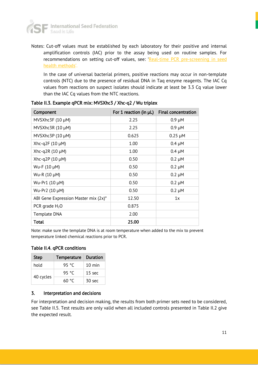

Notes: Cut-off values must be established by each laboratory for their positive and internal amplification controls (IAC) prior to the assay being used on routine samples. For recommendations on setting cut-off values, see: '[Real-time PCR pre-screening in seed](https://www.worldseed.org/wp-content/uploads/2018/03/Real-time_PCR_pre-screens_2018.pdf)  [health methods](https://www.worldseed.org/wp-content/uploads/2018/03/Real-time_PCR_pre-screens_2018.pdf)'.

In the case of universal bacterial primers, positive reactions may occur in non-template controls (NTC) due to the presence of residual DNA in Taq enzyme reagents. The IAC Cq values from reactions on suspect isolates should indicate at least be 3.3 Cq value lower than the IAC Cq values from the NTC reactions.

| Component                            | For 1 reaction (in $\mu$ L) | <b>Final concentration</b> |
|--------------------------------------|-----------------------------|----------------------------|
| MVSXhc3F $(10 \mu M)$                | 2.25                        | $0.9 \mu M$                |
| MVSXhc3R $(10 \mu M)$                | 2.25                        | $0.9 \mu M$                |
| MVSXhc3P $(10 \mu M)$                | 0.625                       | $0.25 \mu M$               |
| Xhc-q2F $(10 \mu M)$                 | 1.00                        | $0.4 \mu M$                |
| Xhc-q2R $(10 \mu M)$                 | 1.00                        | $0.4 \mu M$                |
| Xhc-q2P (10 $\mu$ M)                 | 0.50                        | $0.2 \mu M$                |
| Wu-F (10 µM)                         | 0.50                        | $0.2 \mu M$                |
| Wu-R (10 µM)                         | 0.50                        | $0.2 \mu M$                |
| Wu-Pr1 (10 µM)                       | 0.50                        | $0.2 \mu M$                |
| Wu-Pr2 (10 µM)                       | 0.50                        | $0.2 \mu M$                |
| ABI Gene Expression Master mix (2x)* | 12.50                       | 1x                         |
| PCR grade $H_2O$                     | 0.875                       |                            |
| Template DNA                         | 2.00                        |                            |
| Total                                | 25.00                       |                            |

Table II.3. Example qPCR mix: MVSXhc3 / Xhc-q2 / Wu triplex

Note: make sure the template DNA is at room temperature when added to the mix to prevent temperature linked chemical reactions prior to PCR.

Table II.4. qPCR conditions

| <b>Step</b> | <b>Temperature</b> |                   |
|-------------|--------------------|-------------------|
| hold        | 95 °C              | $10 \text{ min}$  |
| 40 cycles   | 95 °C              | 15 <sub>sec</sub> |
|             | 60 °C              | 30 <sub>sec</sub> |

#### 3. Interpretation and decisions

For interpretation and decision making, the results from both primer sets need to be considered, see Table II.5. Test results are only valid when all included controls presented in Table II.2 give the expected result.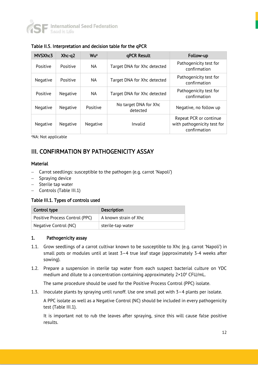

| MVSXhc3  | $X$ <sub>hc</sub> -q2 | Wua       | qPCR Result                       | Follow-up                                                             |
|----------|-----------------------|-----------|-----------------------------------|-----------------------------------------------------------------------|
| Positive | Positive              | NA.       | Target DNA for Xhc detected       | Pathogenicity test for<br>confirmation                                |
| Negative | Positive              | <b>NA</b> | Target DNA for Xhc detected       | Pathogenicity test for<br>confirmation                                |
| Positive | Negative              | <b>NA</b> | Target DNA for Xhc detected       | Pathogenicity test for<br>confirmation                                |
| Negative | Negative              | Positive  | No target DNA for Xhc<br>detected | Negative, no follow up                                                |
| Negative | Negative              | Negative  | Invalid                           | Repeat PCR or continue<br>with pathogenicity test for<br>confirmation |

Table II.5. Interpretation and decision table for the qPCR

<sup>a</sup>NA: Not applicable

## III. CONFIRMATION BY PATHOGENICITY ASSAY

#### Material

- − Carrot seedlings: susceptible to the pathogen (e.g. carrot 'Napoli')
- − Spraying device
- − Sterile tap water
- − Controls (Table III.1)

#### Table III.1. Types of controls used

| Control type                   | <b>Description</b>    |
|--------------------------------|-----------------------|
| Positive Process Control (PPC) | A known strain of Xhc |
| Negative Control (NC)          | sterile-tap water     |

#### 1. Pathogenicity assay

- 1.1. Grow seedlings of a carrot cultivar known to be susceptible to Xhc (e.g. carrot 'Napoli') in small pots or modules until at least 3–4 true leaf stage (approximately 3-4 weeks after sowing).
- 1.2. Prepare a suspension in sterile tap water from each suspect bacterial culture on YDC medium and dilute to a concentration containing approximately  $2 \times 10^6$  CFU/mL.

The same procedure should be used for the Positive Process Control (PPC) isolate.

1.3. Inoculate plants by spraying until runoff. Use one small pot with 3–4 plants per isolate.

A PPC isolate as well as a Negative Control (NC) should be included in every pathogenicity test (Table III.1).

It is important not to rub the leaves after spraying, since this will cause false positive results.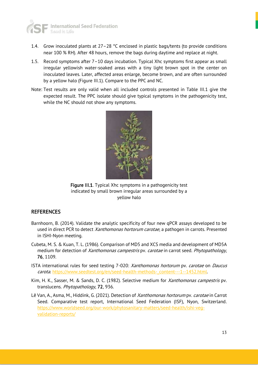

- 1.4. Grow inoculated plants at  $27-28$  °C enclosed in plastic bags/tents (to provide conditions near 100 % RH). After 48 hours, remove the bags during daytime and replace at night.
- 1.5. Record symptoms after 7–10 days incubation. Typical Xhc symptoms first appear as small irregular yellowish water-soaked areas with a tiny light brown spot in the center on inoculated leaves. Later, affected areas enlarge, become brown, and are often surrounded by a yellow halo (Figure III.1). Compare to the PPC and NC.
- Note: Test results are only valid when all included controls presented in Table III.1 give the expected result. The PPC isolate should give typical symptoms in the pathogenicity test, while the NC should not show any symptoms.



Figure III.1. Typical Xhc symptoms in a pathogenicity test indicated by small brown irregular areas surrounded by a yellow halo

#### **REFERENCES**

- Barnhoorn, B. (2014). Validate the analytic specificity of four new qPCR assays developed to be used in direct PCR to detect *Xanthomonas hortorum carotae*, a pathogen in carrots. Presented in ISHI-Nyon meeting.
- Cubeta, M. S. & Kuan, T. L. (1986). Comparison of MD5 and XCS media and development of MD5A medium for detection of Xanthomonas campestris pv. carotae in carrot seed. Phytopathology, 76, 1109.
- ISTA international rules for seed testing 7-020: Xanthomonas hortorum pv. carotae on Daucus carota. [https://www.seedtest.org/en/seed-health-methods-\\_content---1--1452.html.](https://www.seedtest.org/en/seed-health-methods-_content---1--1452.html))
- Kim, H. K., Sasser, M. & Sands, D. C. (1982). Selective medium for Xanthomonas campestris pv. translucens. Phytopathology, 72, 936.
- Lê Van, A., Asma, M., Hiddink, G. (2021). Detection of *Xanthomonas hortorum* pv. *carotae* in Carrot Seed. Comparative test report, International Seed Federation (ISF), Nyon, Switzerland. [https://www.worldseed.org/our-work/phytosanitary-matters/seed-health/ishi-veg](https://www.worldseed.org/our-work/phytosanitary-matters/seed-health/ishi-veg-validation-reports/)[validation-reports/](https://www.worldseed.org/our-work/phytosanitary-matters/seed-health/ishi-veg-validation-reports/)